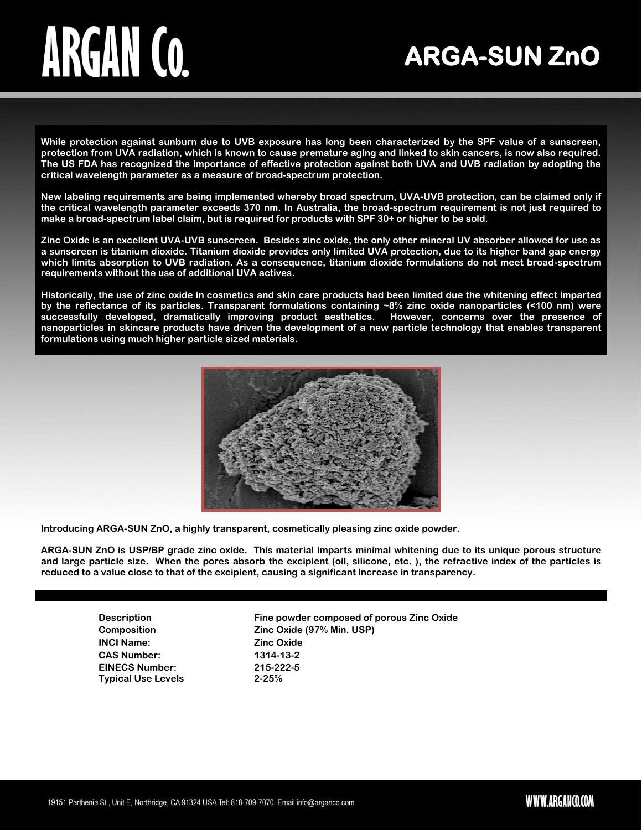### **ARGA-SUN ZnO**

**While protection against sunburn due to UVB exposure has long been characterized by the SPF value of a sunscreen, protection from UVA radiation, which is known to cause premature aging and linked to skin cancers, is now also required. The US FDA has recognized the importance of effective protection against both UVA and UVB radiation by adopting the critical wavelength parameter as a measure of broad-spectrum protection.** 

**New labeling requirements are being implemented whereby broad spectrum, UVA-UVB protection, can be claimed only if the critical wavelength parameter exceeds 370 nm. In Australia, the broad-spectrum requirement is not just required to make a broad-spectrum label claim, but is required for products with SPF 30+ or higher to be sold.**

**Zinc Oxide is an excellent UVA-UVB sunscreen. Besides zinc oxide, the only other mineral UV absorber allowed for use as a sunscreen is titanium dioxide. Titanium dioxide provides only limited UVA protection, due to its higher band gap energy which limits absorption to UVB radiation. As a consequence, titanium dioxide formulations do not meet broad-spectrum requirements without the use of additional UVA actives.**

**Historically, the use of zinc oxide in cosmetics and skin care products had been limited due the whitening effect imparted by the reflectance of its particles. Transparent formulations containing ~8% zinc oxide nanoparticles (<100 nm) were successfully developed, dramatically improving product aesthetics. However, concerns over the presence of nanoparticles in skincare products have driven the development of a new particle technology that enables transparent formulations using much higher particle sized materials.**



**Introducing ARGA-SUN ZnO, a highly transparent, cosmetically pleasing zinc oxide powder.** 

**ARGA-SUN ZnO is USP/BP grade zinc oxide. This material imparts minimal whitening due to its unique porous structure and large particle size. When the pores absorb the excipient (oil, silicone, etc. ), the refractive index of the particles is reduced to a value close to that of the excipient, causing a significant increase in transparency.** 

> **INCI Name: Zinc Oxide CAS Number: 1314-13-2 EINECS Number: 215-222-5 Typical Use Levels 2-25%**

**Description Fine powder composed of porous Zinc Oxide Composition Zinc Oxide (97% Min. USP)**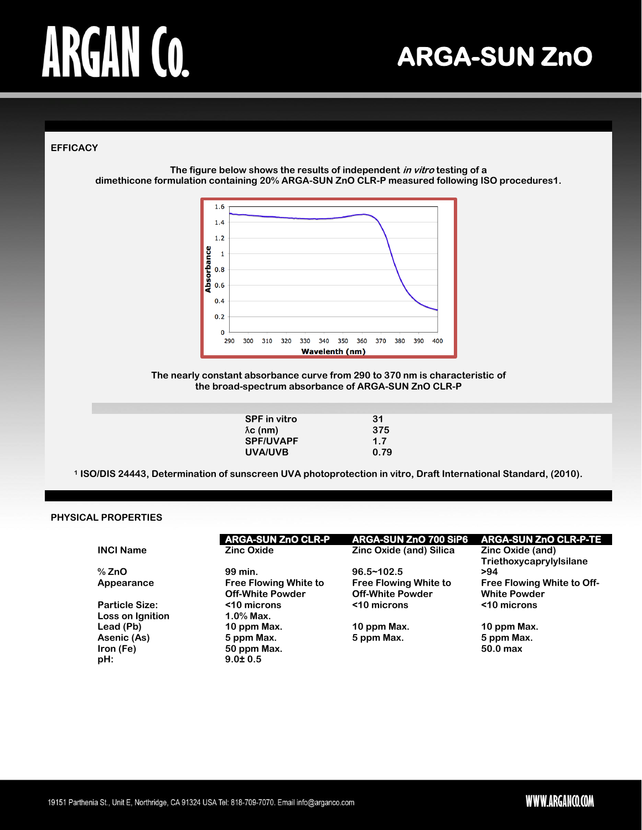**ARGA-SUN ZnO** 

### **EFFICACY**

**The figure below shows the results of independent in vitro testing of a dimethicone formulation containing 20% ARGA-SUN ZnO CLR-P measured following ISO procedures1.**



**The nearly constant absorbance curve from 290 to 370 nm is characteristic of the broad-spectrum absorbance of ARGA-SUN ZnO CLR-P**

| <b>SPF</b> in vitro | 31   |
|---------------------|------|
| $\lambda c$ (nm)    | 375  |
| <b>SPF/UVAPF</b>    | 1.7  |
| UVA/UVB             | 0.79 |
|                     |      |

**<sup>1</sup> ISO/DIS 24443, Determination of sunscreen UVA photoprotection in vitro, Draft International Standard, (2010).**

### **PHYSICAL PROPERTIES**

|                                           | <b>ARGA-SUN ZnO CLR-P</b>                               | ARGA-SUN ZnO 700 SiP6                                   | <b>ARGA-SUN ZnO CLR-P-TE</b>                             |
|-------------------------------------------|---------------------------------------------------------|---------------------------------------------------------|----------------------------------------------------------|
| <b>INCI Name</b>                          | <b>Zinc Oxide</b>                                       | Zinc Oxide (and) Silica                                 | Zinc Oxide (and)<br>Triethoxycaprylylsilane              |
| $%$ ZnO                                   | 99 min.                                                 | $96.5 - 102.5$                                          | >94                                                      |
| Appearance                                | <b>Free Flowing White to</b><br><b>Off-White Powder</b> | <b>Free Flowing White to</b><br><b>Off-White Powder</b> | <b>Free Flowing White to Off-</b><br><b>White Powder</b> |
| <b>Particle Size:</b><br>Loss on Ignition | <10 microns<br>$1.0\%$ Max.                             | <10 microns                                             | <10 microns                                              |
| Lead (Pb)                                 | 10 ppm Max.                                             | 10 ppm Max.                                             | 10 ppm Max.                                              |
| Asenic (As)                               | 5 ppm Max.                                              | 5 ppm Max.                                              | 5 ppm Max.                                               |
| Iron (Fe)                                 | 50 ppm Max.                                             |                                                         | $50.0$ max                                               |
| pH:                                       | $9.0 \pm 0.5$                                           |                                                         |                                                          |